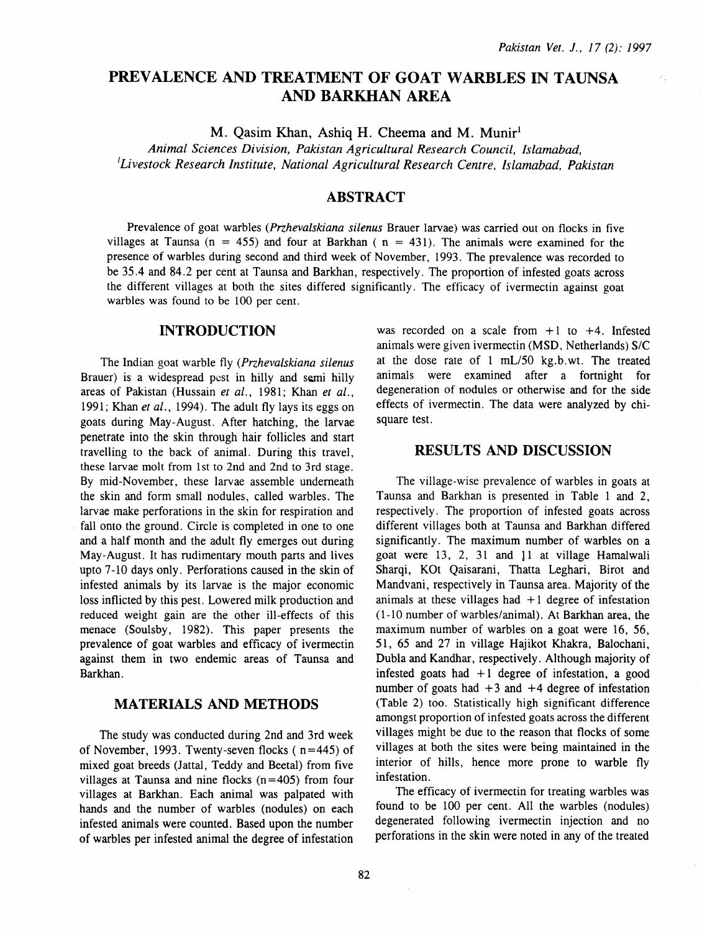# PREVALENCE AND TREATMENT OF GOAT WARBLES IN TAUNSA AND BARKHAN AREA

M. Qasim Khan, Ashiq H. Cheema and M. Munir<sup>1</sup>

*Animal Sciences Division, Pakistan Agricultural Research Council, Islamabad, 'Livestock Research Institute, National Agricultural Research Centre, Islamabad, Pakistan* 

## ABSTRACT

Prevalence of goat warbles *(Przhevalskiana silenus* Brauer larvae) was carried out on flocks in five villages at Taunsa ( $n = 455$ ) and four at Barkhan ( $n = 431$ ). The animals were examined for the presence of warbles during second and third week of November, 1993. The prevalence was recorded to be 35 .4 and 84.2 per cent at Taunsa and Barkhan, respectively. The proportion of infested goats across the different villages at both the sites differed significantly. The efficacy of ivermectin against goat warbles was found to be 100 per cent.

#### INTRODUCTION

The Indian goat warble fly *(Przhevalskiana silenus*  Brauer) is a widespread pest in hilly and semi hilly areas of Pakistan (Hussain et al., 1981; Khan et al., 1991; Khan *et al.,* 1994). The adult fly lays its eggs on goats during May-August. After hatching, the larvae penetrate into the skin through hair follicles and start travelling to the back of animal. During this travel, these larvae molt from 1st to 2nd and 2nd to 3rd stage. By mid-November, these larvae assemble underneath the skin and form small nodules, called warbles. The larvae make perforations in the skin for respiration and fall onto the ground. Circle is completed in one to one and a half month and the adult fly emerges out during May-August. It has rudimentary mouth parts and lives upto 7-10 days only. Perforations caused in the skin of infested animals by its larvae is the major economic loss inflicted by this pest. Lowered milk production and reduced weight gain are the other ill-effects of this menace (Soulsby, 1982). This paper presents the prevalence of goat warbles and efficacy of ivermectin against them in two endemic areas of Taunsa and Barkhan.

#### MATERIALS AND METHODS

The study was conducted during 2nd and 3rd week of November, 1993. Twenty-seven flocks  $(n=445)$  of mixed goat breeds (Jattal, Teddy and Beetal) from five villages at Taunsa and nine flocks  $(n=405)$  from four villages at Barkhan. Each animal was palpated with hands and the number of warbles (nodules) on each infested animals were counted. Based upon the number of warbles per infested animal the degree of infestation was recorded on a scale from  $+1$  to  $+4$ . Infested animals were given ivermectin (MSD, Netherlands) S/C at the dose rate of  $1 \text{ mL}/50 \text{ kg}$ . b. wt. The treated animals were examined after a fortnight for degeneration of nodules or otherwise and for the side effects of ivermectin. The data were analyzed by chisquare test.

# RESULTS AND DISCUSSION

The village-wise prevalence of warbles in goats at Taunsa and Barkhan is presented in Table 1 and 2, respectively. The proportion of infested goats across different villages both at Taunsa and Barkhan differed significantly. The maximum number of warbles on a goat were 13, 2, 31 and 11 at village Hamalwali Sharqi, KOt Qaisarani, Thatta Leghari, Birot and Mandvani, respectively in Taunsa area. Majority of the animals at these villages had  $+1$  degree of infestation (1-10 number of warbles/animal). At Barkhan area, the maximum number of warbles on a goat were 16, 56, 51, 65 and 27 in village Hajikot Khakra, Balochani, Dubla and Kandhar, respectively. Although majority of infested goats had  $+1$  degree of infestation, a good number of goats had  $+3$  and  $+4$  degree of infestation (Table 2) too. Statistically high significant difference amongst proportion of infested goats across the different villages might be due to the reason that flocks of some villages at both the sites were being maintained in the interior of hills, hence more prone to warble fly infestation.

The efficacy of ivermectin for treating warbles was found to be 100 per cent. All the warbles (nodules) degenerated following ivermectin injection and no perforations in the skin were noted in any of the treated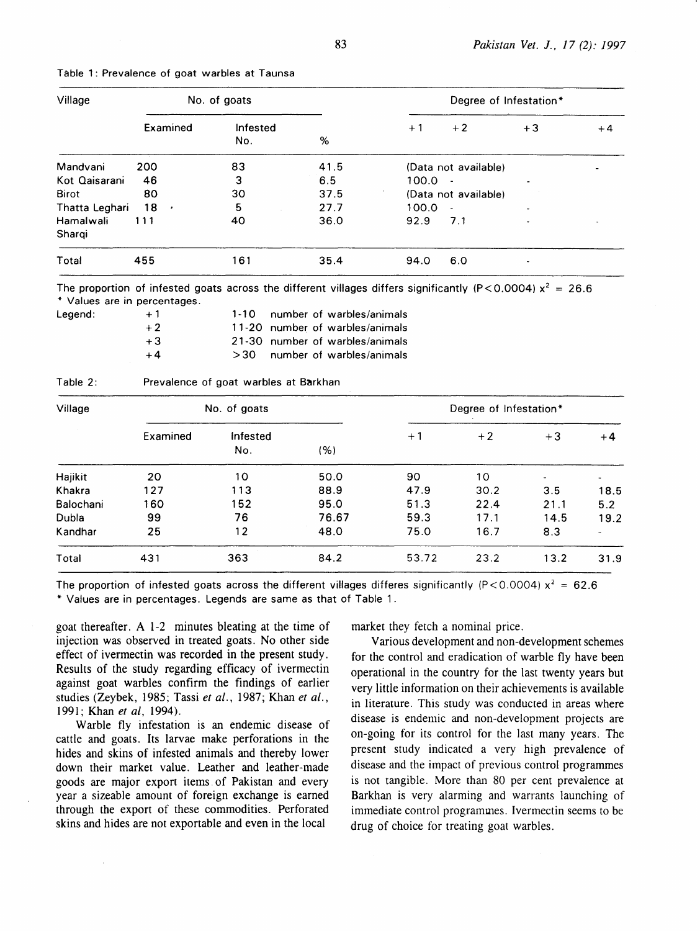| Village        | No. of goats    |                 |      | Degree of Infestation* |                          |      |      |  |
|----------------|-----------------|-----------------|------|------------------------|--------------------------|------|------|--|
|                | Examined        | Infested<br>No. | %    | $+1$                   | $+2$                     | $+3$ | $+4$ |  |
| Mandvani       | 200             | 83              | 41.5 |                        | (Data not available)     |      |      |  |
| Kot Qaisarani  | 46              | 3               | 6.5  | 100.0                  | $\overline{\phantom{a}}$ | ٠    |      |  |
| <b>Birot</b>   | 80              | 30              | 37.5 |                        | (Data not available)     |      |      |  |
| Thatta Leghari | 18<br>$\bullet$ | 5               | 27.7 | 100.0                  | $\overline{\phantom{a}}$ | ٠    |      |  |
| Hamalwali      | 111             | 40              | 36.0 | 92.9                   | 7.1                      | ۰    |      |  |
| Shargi         |                 |                 |      |                        |                          |      |      |  |
| Total          | 455             | 161             | 35.4 | 94.0                   | 6.0                      |      |      |  |

|  |  | Table 1: Prevalence of goat warbles at Taunsa |  |  |  |  |  |
|--|--|-----------------------------------------------|--|--|--|--|--|
|--|--|-----------------------------------------------|--|--|--|--|--|

The proportion of infested goats across the different villages differs significantly (P<0.0004)  $x^2 = 26.6$ \* Values are in percentages.

| Legend: | $+1$ | 1-10 number of warbles/animals  |
|---------|------|---------------------------------|
|         | $+2$ | 11-20 number of warbles/animals |
|         | $+3$ | 21-30 number of warbles/animals |
|         | $+4$ | $>30$ number of warbles/animals |

| Village   |          | No. of goats    | Degree of Infestation* |       |      |      |      |
|-----------|----------|-----------------|------------------------|-------|------|------|------|
|           | Examined | Infested<br>No. | (%)                    | $+1$  | $+2$ | $+3$ | $+4$ |
| Hajikit   | 20       | 10              | 50.0                   | 90    | 10   | ۰    |      |
| Khakra    | 127      | 113             | 88.9                   | 47.9  | 30.2 | 3.5  | 18.5 |
| Balochani | 160      | 152             | 95.0                   | 51.3  | 22.4 | 21.1 | 5.2  |
| Dubla     | 99       | 76              | 76.67                  | 59.3  | 17.1 | 14.5 | 19.2 |
| Kandhar   | 25       | 12              | 48.0                   | 75.0  | 16.7 | 8.3  |      |
| Total     | 431      | 363             | 84.2                   | 53.72 | 23.2 | 13.2 | 31.9 |

The proportion of infested goats across the different villages differes significantly (P<0.0004)  $x^2 = 62.6$ \* Values are in percentages. Legends are same as that of Table 1.

goat thereafter. A 1-2 minutes bleating at the time of injection was observed in treated goats. No other side effect of ivermectin was recorded in the present study. Results of the study regarding efficacy of ivermectin against goat warbles confirm the findings of earlier studies (Zeybek, 1985; Tassi *eta/.,* 1987; Khan *et al.,*  1 991 ; Khan *et al,* 1994).

Warble fly infestation is an endemic disease of cattle and goats. Its larvae make perforations in the hides and skins of infested animals and thereby lower down their market value. Leather and leather-made goods are major export items. of Pakistan and every year a sizeable amount of foreign exchange is earned through the export of these commodities. Perforated skins and hides are not exportable and even in the local

 $\bar{z}$ 

market they fetch a nominal price.

Various development and non-development schemes for the control and eradication of warble fly have been operational in the country for the last twenty years but very little information on their achievements is available in literature. This study was conducted in areas where disease is endemic and non-development projects are on-going for its control for the last many years. The present study indicated a very high prevalence of disease and the impact of previous control programmes is not tangible. More than 80 per cent prevalence at Barkhan is very alarming and warrants launching of immediate control programmes. Ivermectin seems to be drug of choice for treating goat warbles.